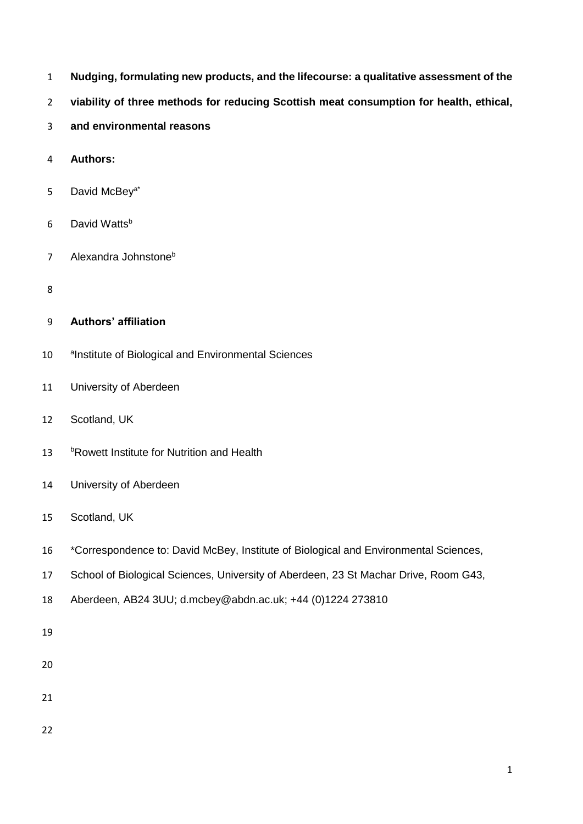- **Nudging, formulating new products, and the lifecourse: a qualitative assessment of the**
- **viability of three methods for reducing Scottish meat consumption for health, ethical,**
- **and environmental reasons**
- **Authors:**
- 5 David McBey<sup>a\*</sup>
- 6 David Watts<sup>b</sup>
- 7 Alexandra Johnstone<sup>b</sup>
- 

# **Authors' affiliation**

- 10 alnstitute of Biological and Environmental Sciences
- University of Aberdeen
- Scotland, UK
- 13 bRowett Institute for Nutrition and Health
- University of Aberdeen
- Scotland, UK
- \*Correspondence to: David McBey, Institute of Biological and Environmental Sciences,
- School of Biological Sciences, University of Aberdeen, 23 St Machar Drive, Room G43,
- Aberdeen, AB24 3UU; d.mcbey@abdn.ac.uk; +44 (0)1224 273810
- 
- 
- 
-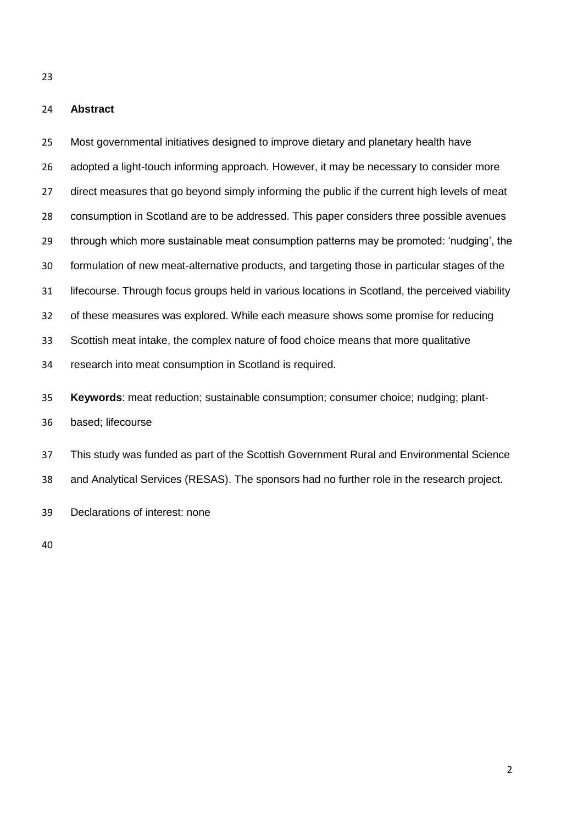### **Abstract**

 Most governmental initiatives designed to improve dietary and planetary health have adopted a light-touch informing approach. However, it may be necessary to consider more 27 direct measures that go beyond simply informing the public if the current high levels of meat consumption in Scotland are to be addressed. This paper considers three possible avenues through which more sustainable meat consumption patterns may be promoted: 'nudging', the formulation of new meat-alternative products, and targeting those in particular stages of the lifecourse. Through focus groups held in various locations in Scotland, the perceived viability of these measures was explored. While each measure shows some promise for reducing Scottish meat intake, the complex nature of food choice means that more qualitative research into meat consumption in Scotland is required. **Keywords**: meat reduction; sustainable consumption; consumer choice; nudging; plant- based; lifecourse This study was funded as part of the Scottish Government Rural and Environmental Science and Analytical Services (RESAS). The sponsors had no further role in the research project.

Declarations of interest: none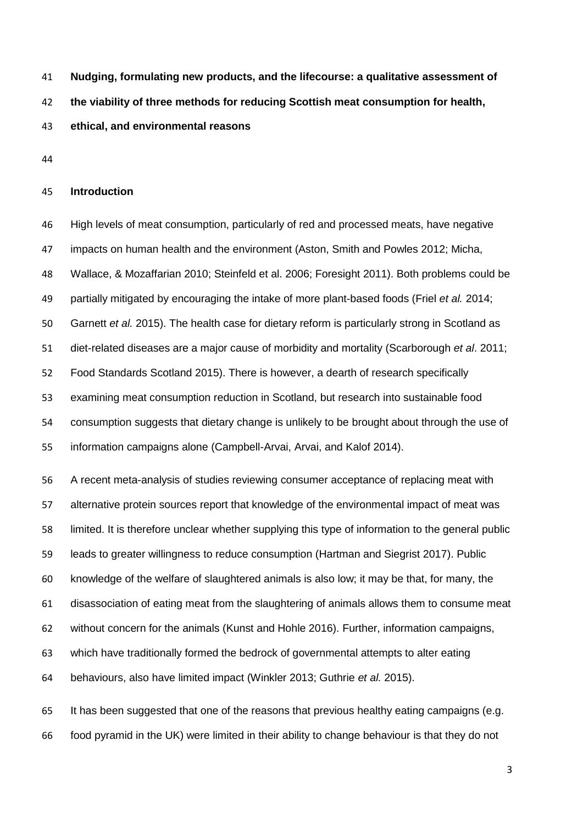**Nudging, formulating new products, and the lifecourse: a qualitative assessment of** 

**the viability of three methods for reducing Scottish meat consumption for health,** 

**ethical, and environmental reasons**

### **Introduction**

 High levels of meat consumption, particularly of red and processed meats, have negative impacts on human health and the environment (Aston, Smith and Powles 2012; Micha, Wallace, & Mozaffarian 2010; Steinfeld et al. 2006; Foresight 2011). Both problems could be partially mitigated by encouraging the intake of more plant-based foods (Friel *et al.* 2014; Garnett *et al.* 2015). The health case for dietary reform is particularly strong in Scotland as diet-related diseases are a major cause of morbidity and mortality (Scarborough *et al*. 2011; Food Standards Scotland 2015). There is however, a dearth of research specifically examining meat consumption reduction in Scotland, but research into sustainable food consumption suggests that dietary change is unlikely to be brought about through the use of information campaigns alone (Campbell-Arvai, Arvai, and Kalof 2014).

 A recent meta-analysis of studies reviewing consumer acceptance of replacing meat with alternative protein sources report that knowledge of the environmental impact of meat was limited. It is therefore unclear whether supplying this type of information to the general public leads to greater willingness to reduce consumption (Hartman and Siegrist 2017). Public knowledge of the welfare of slaughtered animals is also low; it may be that, for many, the disassociation of eating meat from the slaughtering of animals allows them to consume meat without concern for the animals (Kunst and Hohle 2016). Further, information campaigns, which have traditionally formed the bedrock of governmental attempts to alter eating behaviours, also have limited impact (Winkler 2013; Guthrie *et al.* 2015).

 It has been suggested that one of the reasons that previous healthy eating campaigns (e.g. food pyramid in the UK) were limited in their ability to change behaviour is that they do not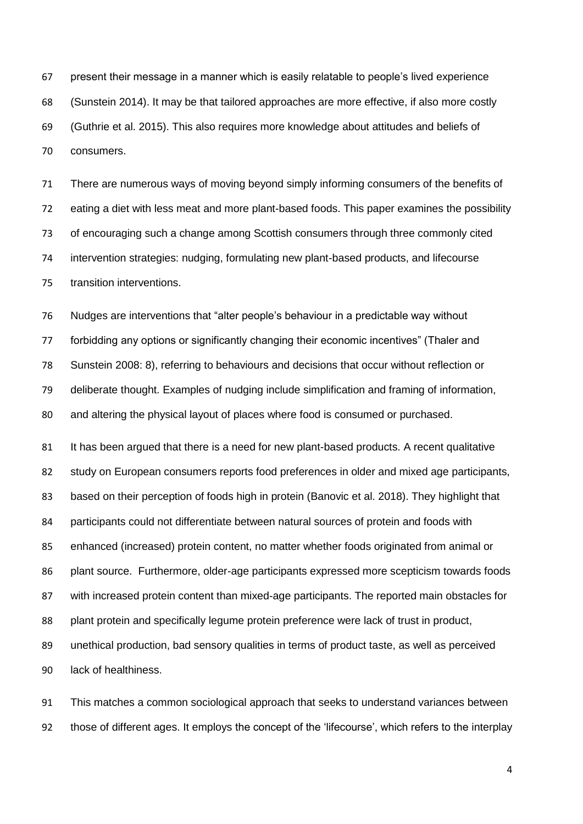present their message in a manner which is easily relatable to people's lived experience (Sunstein 2014). It may be that tailored approaches are more effective, if also more costly (Guthrie et al. 2015). This also requires more knowledge about attitudes and beliefs of consumers.

 There are numerous ways of moving beyond simply informing consumers of the benefits of eating a diet with less meat and more plant-based foods. This paper examines the possibility of encouraging such a change among Scottish consumers through three commonly cited intervention strategies: nudging, formulating new plant-based products, and lifecourse transition interventions.

 Nudges are interventions that "alter people's behaviour in a predictable way without forbidding any options or significantly changing their economic incentives" (Thaler and Sunstein 2008: 8), referring to behaviours and decisions that occur without reflection or deliberate thought. Examples of nudging include simplification and framing of information, and altering the physical layout of places where food is consumed or purchased.

81 It has been argued that there is a need for new plant-based products. A recent qualitative study on European consumers reports food preferences in older and mixed age participants, 83 based on their perception of foods high in protein (Banovic et al. 2018). They highlight that participants could not differentiate between natural sources of protein and foods with enhanced (increased) protein content, no matter whether foods originated from animal or plant source. Furthermore, older-age participants expressed more scepticism towards foods with increased protein content than mixed-age participants. The reported main obstacles for plant protein and specifically legume protein preference were lack of trust in product, unethical production, bad sensory qualities in terms of product taste, as well as perceived lack of healthiness.

 This matches a common sociological approach that seeks to understand variances between those of different ages. It employs the concept of the 'lifecourse', which refers to the interplay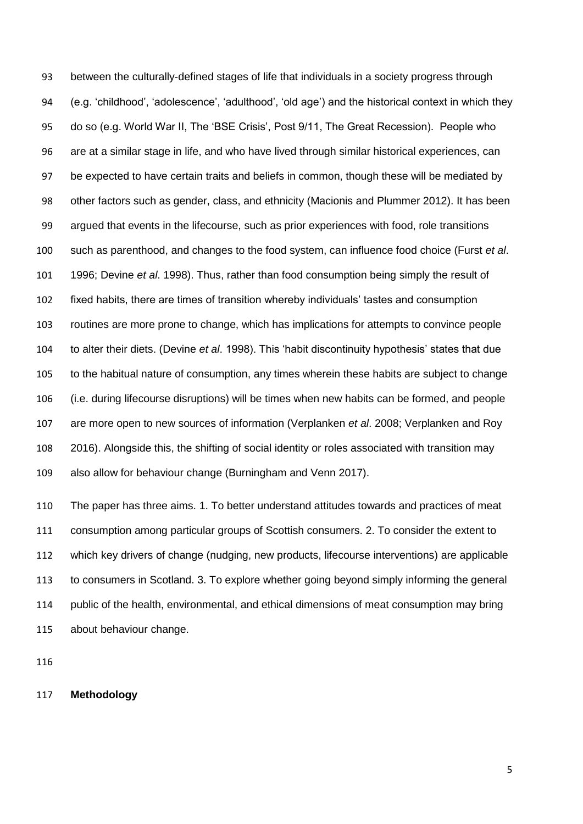between the culturally-defined stages of life that individuals in a society progress through (e.g. 'childhood', 'adolescence', 'adulthood', 'old age') and the historical context in which they do so (e.g. World War II, The 'BSE Crisis', Post 9/11, The Great Recession). People who are at a similar stage in life, and who have lived through similar historical experiences, can 97 be expected to have certain traits and beliefs in common, though these will be mediated by other factors such as gender, class, and ethnicity (Macionis and Plummer 2012). It has been argued that events in the lifecourse, such as prior experiences with food, role transitions such as parenthood, and changes to the food system, can influence food choice (Furst *et al*. 1996; Devine *et al*. 1998). Thus, rather than food consumption being simply the result of fixed habits, there are times of transition whereby individuals' tastes and consumption routines are more prone to change, which has implications for attempts to convince people to alter their diets. (Devine *et al*. 1998). This 'habit discontinuity hypothesis' states that due to the habitual nature of consumption, any times wherein these habits are subject to change (i.e. during lifecourse disruptions) will be times when new habits can be formed, and people are more open to new sources of information (Verplanken *et al*. 2008; Verplanken and Roy 2016). Alongside this, the shifting of social identity or roles associated with transition may also allow for behaviour change (Burningham and Venn 2017).

 The paper has three aims. 1. To better understand attitudes towards and practices of meat consumption among particular groups of Scottish consumers. 2. To consider the extent to which key drivers of change (nudging, new products, lifecourse interventions) are applicable to consumers in Scotland. 3. To explore whether going beyond simply informing the general public of the health, environmental, and ethical dimensions of meat consumption may bring about behaviour change.

### **Methodology**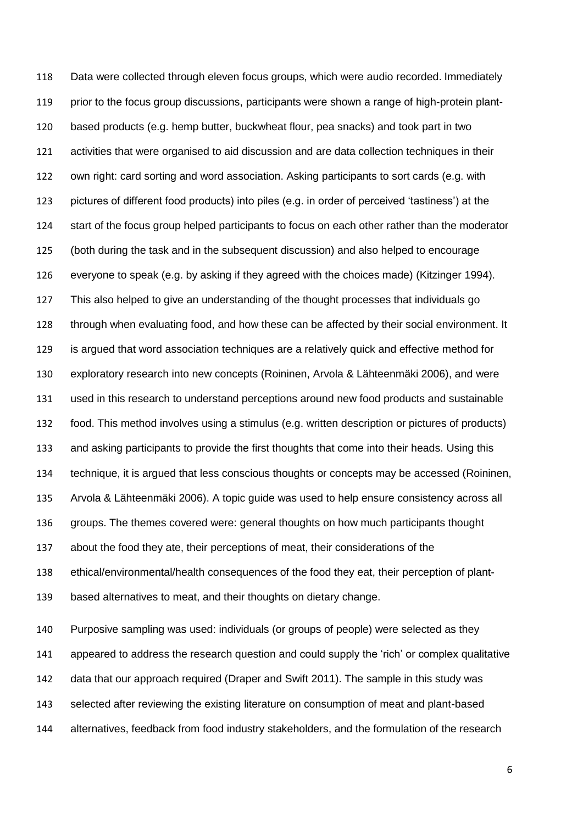Data were collected through eleven focus groups, which were audio recorded. Immediately prior to the focus group discussions, participants were shown a range of high-protein plant- based products (e.g. hemp butter, buckwheat flour, pea snacks) and took part in two activities that were organised to aid discussion and are data collection techniques in their own right: card sorting and word association. Asking participants to sort cards (e.g. with pictures of different food products) into piles (e.g. in order of perceived 'tastiness') at the start of the focus group helped participants to focus on each other rather than the moderator (both during the task and in the subsequent discussion) and also helped to encourage everyone to speak (e.g. by asking if they agreed with the choices made) (Kitzinger 1994). This also helped to give an understanding of the thought processes that individuals go through when evaluating food, and how these can be affected by their social environment. It is argued that word association techniques are a relatively quick and effective method for exploratory research into new concepts (Roininen, Arvola & Lähteenmäki 2006), and were used in this research to understand perceptions around new food products and sustainable food. This method involves using a stimulus (e.g. written description or pictures of products) and asking participants to provide the first thoughts that come into their heads. Using this technique, it is argued that less conscious thoughts or concepts may be accessed (Roininen, Arvola & Lähteenmäki 2006). A topic guide was used to help ensure consistency across all groups. The themes covered were: general thoughts on how much participants thought about the food they ate, their perceptions of meat, their considerations of the ethical/environmental/health consequences of the food they eat, their perception of plant- based alternatives to meat, and their thoughts on dietary change. Purposive sampling was used: individuals (or groups of people) were selected as they

 appeared to address the research question and could supply the 'rich' or complex qualitative data that our approach required (Draper and Swift 2011). The sample in this study was selected after reviewing the existing literature on consumption of meat and plant-based alternatives, feedback from food industry stakeholders, and the formulation of the research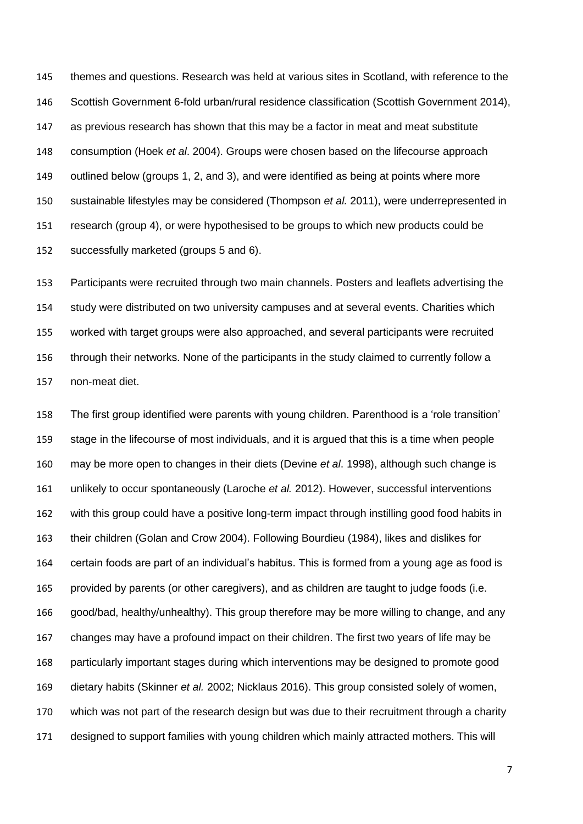themes and questions. Research was held at various sites in Scotland, with reference to the Scottish Government 6-fold urban/rural residence classification (Scottish Government 2014), as previous research has shown that this may be a factor in meat and meat substitute consumption (Hoek *et al*. 2004). Groups were chosen based on the lifecourse approach outlined below (groups 1, 2, and 3), and were identified as being at points where more sustainable lifestyles may be considered (Thompson *et al.* 2011), were underrepresented in research (group 4), or were hypothesised to be groups to which new products could be successfully marketed (groups 5 and 6).

 Participants were recruited through two main channels. Posters and leaflets advertising the study were distributed on two university campuses and at several events. Charities which worked with target groups were also approached, and several participants were recruited through their networks. None of the participants in the study claimed to currently follow a non-meat diet.

 The first group identified were parents with young children. Parenthood is a 'role transition' stage in the lifecourse of most individuals, and it is argued that this is a time when people may be more open to changes in their diets (Devine *et al*. 1998), although such change is unlikely to occur spontaneously (Laroche *et al.* 2012). However, successful interventions with this group could have a positive long-term impact through instilling good food habits in their children (Golan and Crow 2004). Following Bourdieu (1984), likes and dislikes for certain foods are part of an individual's habitus. This is formed from a young age as food is provided by parents (or other caregivers), and as children are taught to judge foods (i.e. good/bad, healthy/unhealthy). This group therefore may be more willing to change, and any changes may have a profound impact on their children. The first two years of life may be particularly important stages during which interventions may be designed to promote good dietary habits (Skinner *et al.* 2002; Nicklaus 2016). This group consisted solely of women, which was not part of the research design but was due to their recruitment through a charity designed to support families with young children which mainly attracted mothers. This will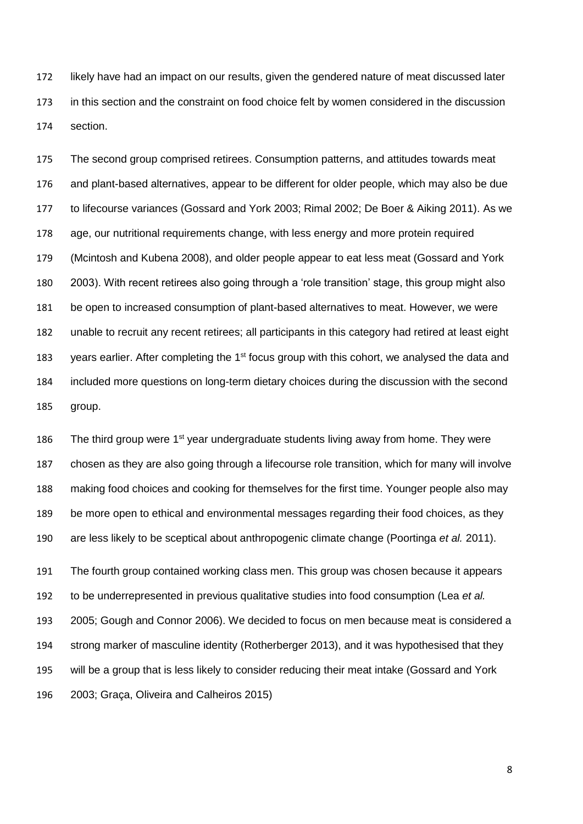likely have had an impact on our results, given the gendered nature of meat discussed later in this section and the constraint on food choice felt by women considered in the discussion section.

 The second group comprised retirees. Consumption patterns, and attitudes towards meat and plant-based alternatives, appear to be different for older people, which may also be due to lifecourse variances (Gossard and York 2003; Rimal 2002; De Boer & Aiking 2011). As we age, our nutritional requirements change, with less energy and more protein required (Mcintosh and Kubena 2008), and older people appear to eat less meat (Gossard and York 2003). With recent retirees also going through a 'role transition' stage, this group might also be open to increased consumption of plant-based alternatives to meat. However, we were unable to recruit any recent retirees; all participants in this category had retired at least eight 183 years earlier. After completing the  $1<sup>st</sup>$  focus group with this cohort, we analysed the data and included more questions on long-term dietary choices during the discussion with the second group.

186 The third group were  $1<sup>st</sup>$  year undergraduate students living away from home. They were chosen as they are also going through a lifecourse role transition, which for many will involve making food choices and cooking for themselves for the first time. Younger people also may be more open to ethical and environmental messages regarding their food choices, as they are less likely to be sceptical about anthropogenic climate change (Poortinga *et al.* 2011).

 The fourth group contained working class men. This group was chosen because it appears to be underrepresented in previous qualitative studies into food consumption (Lea *et al.* 2005; Gough and Connor 2006). We decided to focus on men because meat is considered a strong marker of masculine identity (Rotherberger 2013), and it was hypothesised that they will be a group that is less likely to consider reducing their meat intake (Gossard and York 2003; Graça, Oliveira and Calheiros 2015)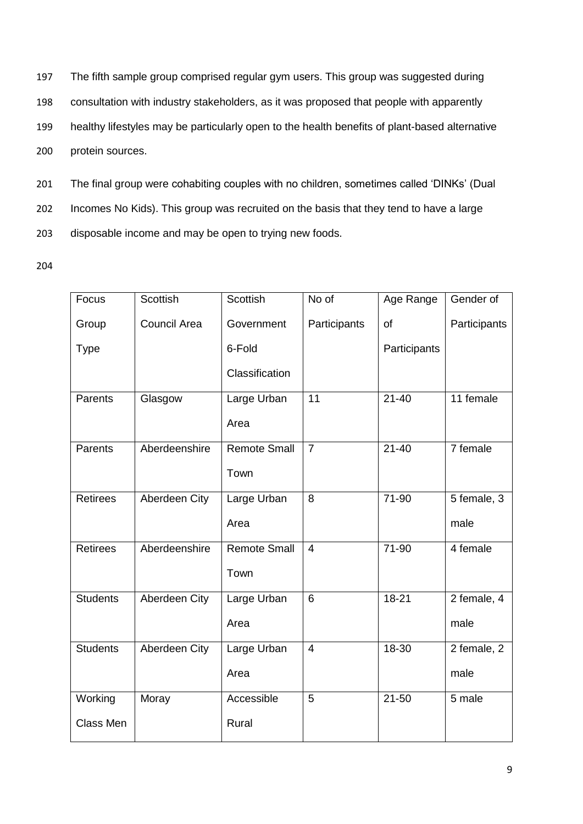The fifth sample group comprised regular gym users. This group was suggested during consultation with industry stakeholders, as it was proposed that people with apparently healthy lifestyles may be particularly open to the health benefits of plant-based alternative protein sources.

201 The final group were cohabiting couples with no children, sometimes called 'DINKs' (Dual 202 Incomes No Kids). This group was recruited on the basis that they tend to have a large 203 disposable income and may be open to trying new foods.

| Focus           | Scottish             | Scottish            | No of          | Age Range    | Gender of    |
|-----------------|----------------------|---------------------|----------------|--------------|--------------|
| Group           | <b>Council Area</b>  | Government          | Participants   | of           | Participants |
| <b>Type</b>     |                      | 6-Fold              |                | Participants |              |
|                 |                      | Classification      |                |              |              |
| Parents         | Glasgow              | Large Urban         | 11             | $21 - 40$    | 11 female    |
|                 |                      | Area                |                |              |              |
| Parents         | Aberdeenshire        | <b>Remote Small</b> | $\overline{7}$ | $21 - 40$    | 7 female     |
|                 |                      | Town                |                |              |              |
| <b>Retirees</b> | <b>Aberdeen City</b> | Large Urban         | 8              | $71-90$      | 5 female, 3  |
|                 |                      | Area                |                |              | male         |
| Retirees        | Aberdeenshire        | <b>Remote Small</b> | $\overline{4}$ | 71-90        | 4 female     |
|                 |                      | Town                |                |              |              |
| <b>Students</b> | Aberdeen City        | Large Urban         | 6              | $18 - 21$    | 2 female, 4  |
|                 |                      | Area                |                |              | male         |
| <b>Students</b> | Aberdeen City        | Large Urban         | $\overline{4}$ | 18-30        | 2 female, 2  |
|                 |                      | Area                |                |              | male         |
| Working         | Moray                | Accessible          | 5              | $21 - 50$    | 5 male       |
| Class Men       |                      | Rural               |                |              |              |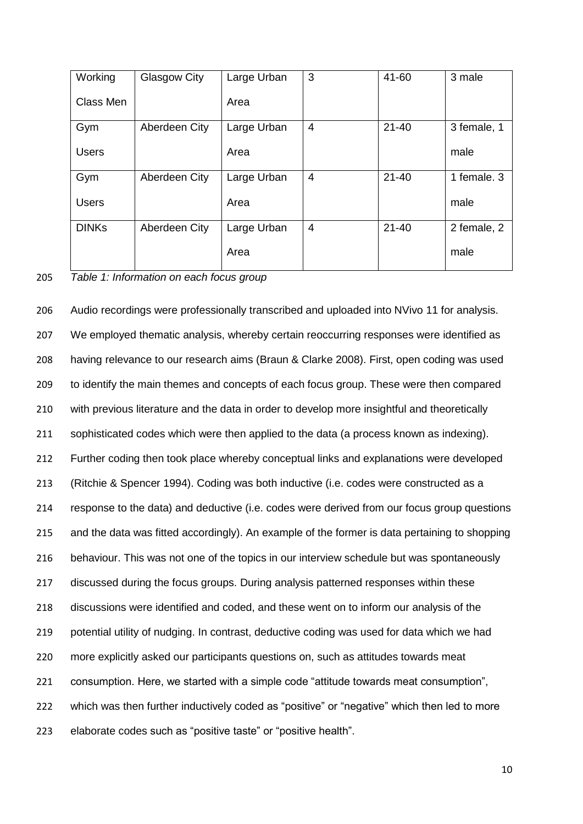| Working      | Glasgow City  | Large Urban | 3              | 41-60     | 3 male      |
|--------------|---------------|-------------|----------------|-----------|-------------|
| Class Men    |               | Area        |                |           |             |
| Gym          | Aberdeen City | Large Urban | $\overline{4}$ | $21 - 40$ | 3 female, 1 |
| <b>Users</b> |               | Area        |                |           | male        |
| Gym          | Aberdeen City | Large Urban | $\overline{4}$ | $21 - 40$ | 1 female, 3 |
| <b>Users</b> |               | Area        |                |           | male        |
| <b>DINKs</b> | Aberdeen City | Large Urban | $\overline{4}$ | $21 - 40$ | 2 female, 2 |
|              |               | Area        |                |           | male        |

205 *Table 1: Information on each focus group* 

 Audio recordings were professionally transcribed and uploaded into NVivo 11 for analysis. We employed thematic analysis, whereby certain reoccurring responses were identified as having relevance to our research aims (Braun & Clarke 2008). First, open coding was used to identify the main themes and concepts of each focus group. These were then compared with previous literature and the data in order to develop more insightful and theoretically sophisticated codes which were then applied to the data (a process known as indexing). Further coding then took place whereby conceptual links and explanations were developed (Ritchie & Spencer 1994). Coding was both inductive (i.e. codes were constructed as a response to the data) and deductive (i.e. codes were derived from our focus group questions and the data was fitted accordingly). An example of the former is data pertaining to shopping behaviour. This was not one of the topics in our interview schedule but was spontaneously discussed during the focus groups. During analysis patterned responses within these discussions were identified and coded, and these went on to inform our analysis of the potential utility of nudging. In contrast, deductive coding was used for data which we had more explicitly asked our participants questions on, such as attitudes towards meat consumption. Here, we started with a simple code "attitude towards meat consumption", which was then further inductively coded as "positive" or "negative" which then led to more elaborate codes such as "positive taste" or "positive health".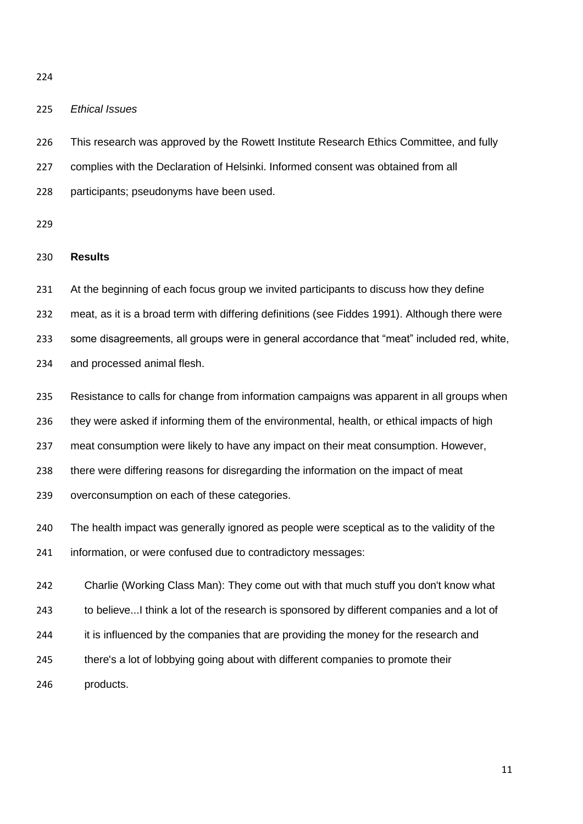## *Ethical Issues*

 This research was approved by the Rowett Institute Research Ethics Committee, and fully complies with the Declaration of Helsinki. Informed consent was obtained from all participants; pseudonyms have been used.

### **Results**

 At the beginning of each focus group we invited participants to discuss how they define meat, as it is a broad term with differing definitions (see Fiddes 1991). Although there were some disagreements, all groups were in general accordance that "meat" included red, white, and processed animal flesh.

 Resistance to calls for change from information campaigns was apparent in all groups when they were asked if informing them of the environmental, health, or ethical impacts of high meat consumption were likely to have any impact on their meat consumption. However, there were differing reasons for disregarding the information on the impact of meat overconsumption on each of these categories.

 The health impact was generally ignored as people were sceptical as to the validity of the information, or were confused due to contradictory messages:

 Charlie (Working Class Man): They come out with that much stuff you don't know what 243 to believe...I think a lot of the research is sponsored by different companies and a lot of 244 it is influenced by the companies that are providing the money for the research and there's a lot of lobbying going about with different companies to promote their products.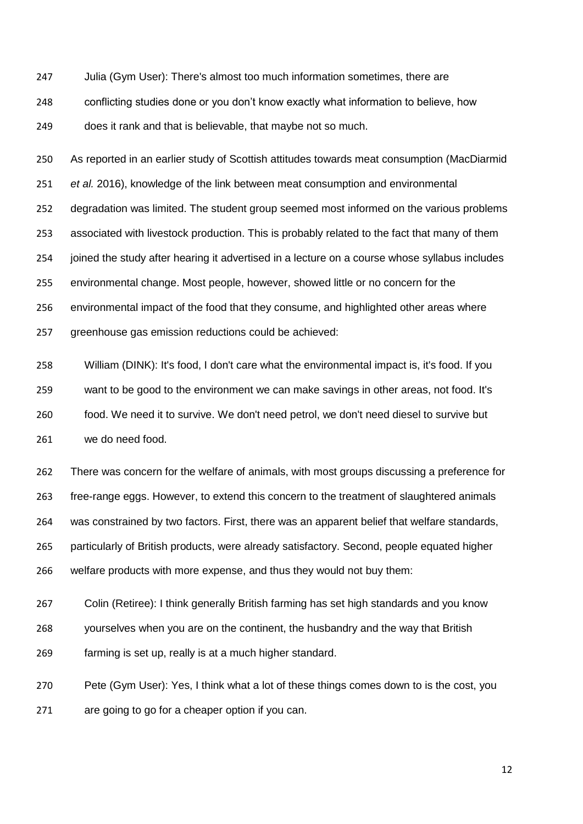Julia (Gym User): There's almost too much information sometimes, there are conflicting studies done or you don't know exactly what information to believe, how does it rank and that is believable, that maybe not so much.

 As reported in an earlier study of Scottish attitudes towards meat consumption (MacDiarmid *et al.* 2016), knowledge of the link between meat consumption and environmental degradation was limited. The student group seemed most informed on the various problems associated with livestock production. This is probably related to the fact that many of them joined the study after hearing it advertised in a lecture on a course whose syllabus includes environmental change. Most people, however, showed little or no concern for the environmental impact of the food that they consume, and highlighted other areas where greenhouse gas emission reductions could be achieved:

 William (DINK): It's food, I don't care what the environmental impact is, it's food. If you want to be good to the environment we can make savings in other areas, not food. It's food. We need it to survive. We don't need petrol, we don't need diesel to survive but we do need food.

 There was concern for the welfare of animals, with most groups discussing a preference for free-range eggs. However, to extend this concern to the treatment of slaughtered animals was constrained by two factors. First, there was an apparent belief that welfare standards, particularly of British products, were already satisfactory. Second, people equated higher welfare products with more expense, and thus they would not buy them:

 Colin (Retiree): I think generally British farming has set high standards and you know yourselves when you are on the continent, the husbandry and the way that British farming is set up, really is at a much higher standard.

 Pete (Gym User): Yes, I think what a lot of these things comes down to is the cost, you are going to go for a cheaper option if you can.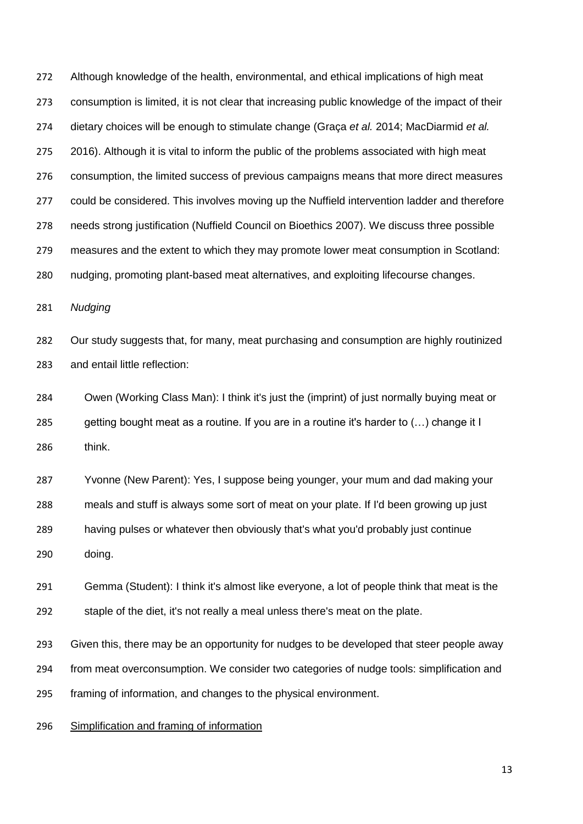Although knowledge of the health, environmental, and ethical implications of high meat consumption is limited, it is not clear that increasing public knowledge of the impact of their dietary choices will be enough to stimulate change (Graça *et al.* 2014; MacDiarmid *et al.* 275 2016). Although it is vital to inform the public of the problems associated with high meat consumption, the limited success of previous campaigns means that more direct measures could be considered. This involves moving up the Nuffield intervention ladder and therefore needs strong justification (Nuffield Council on Bioethics 2007). We discuss three possible measures and the extent to which they may promote lower meat consumption in Scotland: nudging, promoting plant-based meat alternatives, and exploiting lifecourse changes. *Nudging* Our study suggests that, for many, meat purchasing and consumption are highly routinized and entail little reflection: Owen (Working Class Man): I think it's just the (imprint) of just normally buying meat or getting bought meat as a routine. If you are in a routine it's harder to (…) change it I think. Yvonne (New Parent): Yes, I suppose being younger, your mum and dad making your meals and stuff is always some sort of meat on your plate. If I'd been growing up just having pulses or whatever then obviously that's what you'd probably just continue doing. Gemma (Student): I think it's almost like everyone, a lot of people think that meat is the staple of the diet, it's not really a meal unless there's meat on the plate. Given this, there may be an opportunity for nudges to be developed that steer people away from meat overconsumption. We consider two categories of nudge tools: simplification and

framing of information, and changes to the physical environment.

# Simplification and framing of information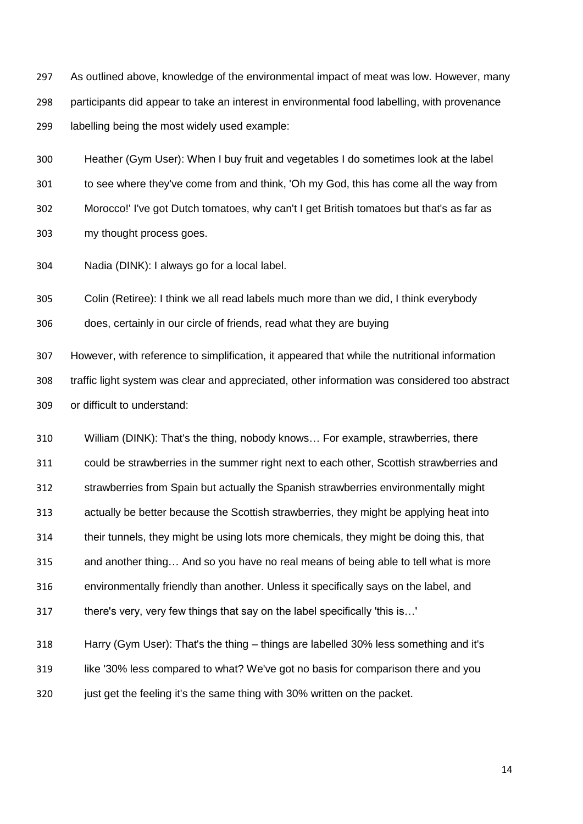As outlined above, knowledge of the environmental impact of meat was low. However, many participants did appear to take an interest in environmental food labelling, with provenance labelling being the most widely used example:

 Heather (Gym User): When I buy fruit and vegetables I do sometimes look at the label to see where they've come from and think, 'Oh my God, this has come all the way from Morocco!' I've got Dutch tomatoes, why can't I get British tomatoes but that's as far as my thought process goes.

Nadia (DINK): I always go for a local label.

Colin (Retiree): I think we all read labels much more than we did, I think everybody

does, certainly in our circle of friends, read what they are buying

 However, with reference to simplification, it appeared that while the nutritional information traffic light system was clear and appreciated, other information was considered too abstract or difficult to understand:

 William (DINK): That's the thing, nobody knows… For example, strawberries, there could be strawberries in the summer right next to each other, Scottish strawberries and strawberries from Spain but actually the Spanish strawberries environmentally might actually be better because the Scottish strawberries, they might be applying heat into their tunnels, they might be using lots more chemicals, they might be doing this, that and another thing… And so you have no real means of being able to tell what is more environmentally friendly than another. Unless it specifically says on the label, and there's very, very few things that say on the label specifically 'this is…' Harry (Gym User): That's the thing – things are labelled 30% less something and it's

 like '30% less compared to what? We've got no basis for comparison there and you 320 just get the feeling it's the same thing with 30% written on the packet.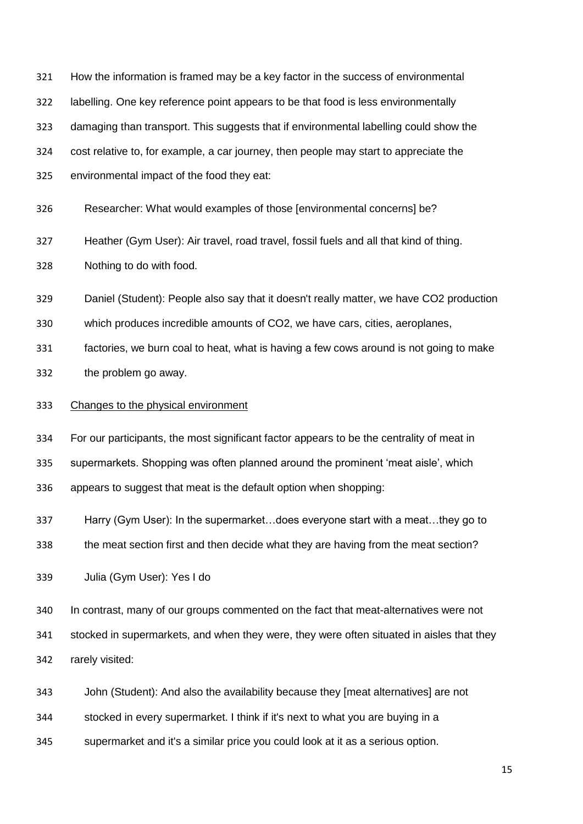| 321 | How the information is framed may be a key factor in the success of environmental         |
|-----|-------------------------------------------------------------------------------------------|
| 322 | labelling. One key reference point appears to be that food is less environmentally        |
| 323 | damaging than transport. This suggests that if environmental labelling could show the     |
| 324 | cost relative to, for example, a car journey, then people may start to appreciate the     |
| 325 | environmental impact of the food they eat:                                                |
| 326 | Researcher: What would examples of those [environmental concerns] be?                     |
| 327 | Heather (Gym User): Air travel, road travel, fossil fuels and all that kind of thing.     |
| 328 | Nothing to do with food.                                                                  |
| 329 | Daniel (Student): People also say that it doesn't really matter, we have CO2 production   |
| 330 | which produces incredible amounts of CO2, we have cars, cities, aeroplanes,               |
| 331 | factories, we burn coal to heat, what is having a few cows around is not going to make    |
| 332 | the problem go away.                                                                      |
| 333 | Changes to the physical environment                                                       |
| 334 | For our participants, the most significant factor appears to be the centrality of meat in |
| 335 | supermarkets. Shopping was often planned around the prominent 'meat aisle', which         |
| 336 | appears to suggest that meat is the default option when shopping:                         |
| 337 | Harry (Gym User): In the supermarketdoes everyone start with a meatthey go to             |
| 338 | the meat section first and then decide what they are having from the meat section?        |
| 339 | Julia (Gym User): Yes I do                                                                |
| 340 | In contrast, many of our groups commented on the fact that meat-alternatives were not     |
| 341 | stocked in supermarkets, and when they were, they were often situated in aisles that they |
| 342 |                                                                                           |
|     | rarely visited:                                                                           |
| 343 | John (Student): And also the availability because they [meat alternatives] are not        |

supermarket and it's a similar price you could look at it as a serious option.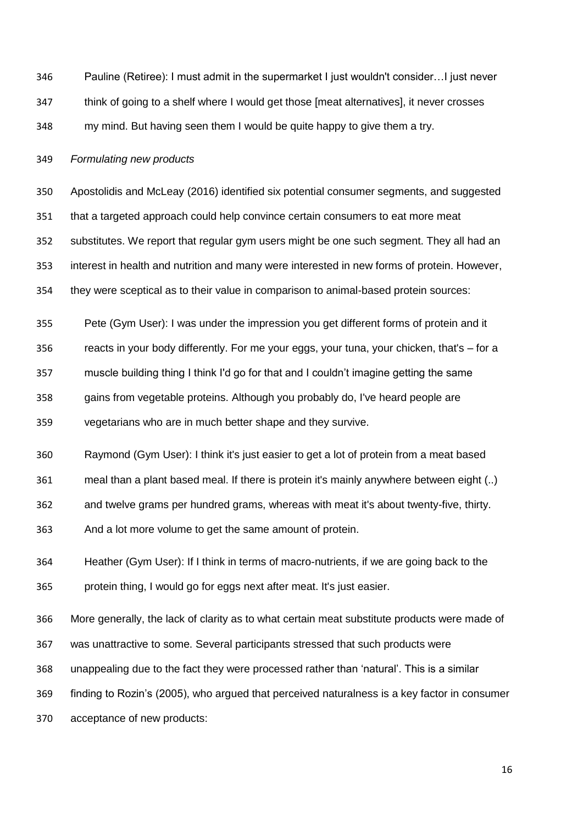Pauline (Retiree): I must admit in the supermarket I just wouldn't consider…I just never think of going to a shelf where I would get those [meat alternatives], it never crosses my mind. But having seen them I would be quite happy to give them a try.

#### *Formulating new products*

 Apostolidis and McLeay (2016) identified six potential consumer segments, and suggested that a targeted approach could help convince certain consumers to eat more meat substitutes. We report that regular gym users might be one such segment. They all had an interest in health and nutrition and many were interested in new forms of protein. However, they were sceptical as to their value in comparison to animal-based protein sources:

 Pete (Gym User): I was under the impression you get different forms of protein and it reacts in your body differently. For me your eggs, your tuna, your chicken, that's – for a muscle building thing I think I'd go for that and I couldn't imagine getting the same gains from vegetable proteins. Although you probably do, I've heard people are vegetarians who are in much better shape and they survive.

Raymond (Gym User): I think it's just easier to get a lot of protein from a meat based

meal than a plant based meal. If there is protein it's mainly anywhere between eight (..)

and twelve grams per hundred grams, whereas with meat it's about twenty-five, thirty.

And a lot more volume to get the same amount of protein.

 Heather (Gym User): If I think in terms of macro-nutrients, if we are going back to the protein thing, I would go for eggs next after meat. It's just easier.

 More generally, the lack of clarity as to what certain meat substitute products were made of was unattractive to some. Several participants stressed that such products were unappealing due to the fact they were processed rather than 'natural'. This is a similar finding to Rozin's (2005), who argued that perceived naturalness is a key factor in consumer

acceptance of new products: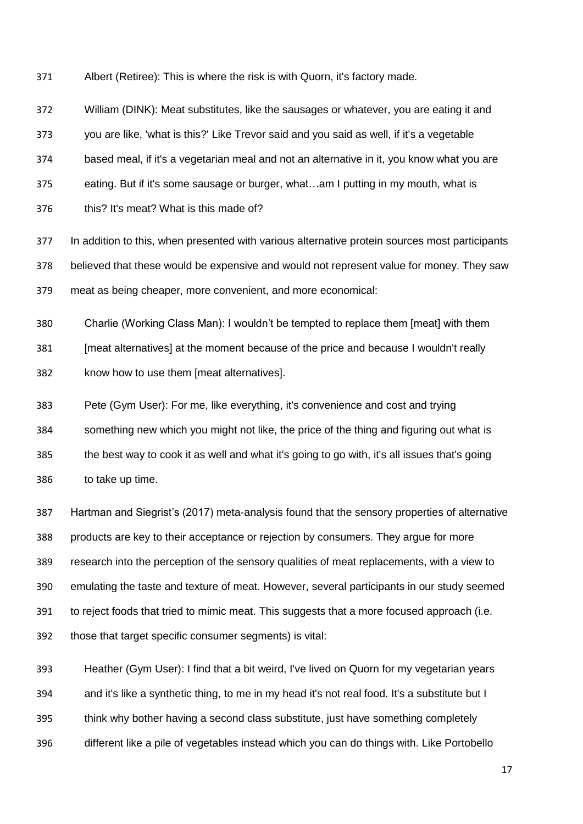Albert (Retiree): This is where the risk is with Quorn, it's factory made.

William (DINK): Meat substitutes, like the sausages or whatever, you are eating it and

you are like, 'what is this?' Like Trevor said and you said as well, if it's a vegetable

based meal, if it's a vegetarian meal and not an alternative in it, you know what you are

eating. But if it's some sausage or burger, what…am I putting in my mouth, what is

this? It's meat? What is this made of?

 In addition to this, when presented with various alternative protein sources most participants believed that these would be expensive and would not represent value for money. They saw meat as being cheaper, more convenient, and more economical:

 Charlie (Working Class Man): I wouldn't be tempted to replace them [meat] with them [meat alternatives] at the moment because of the price and because I wouldn't really know how to use them [meat alternatives].

 Pete (Gym User): For me, like everything, it's convenience and cost and trying something new which you might not like, the price of the thing and figuring out what is the best way to cook it as well and what it's going to go with, it's all issues that's going to take up time.

 Hartman and Siegrist's (2017) meta-analysis found that the sensory properties of alternative products are key to their acceptance or rejection by consumers. They argue for more research into the perception of the sensory qualities of meat replacements, with a view to emulating the taste and texture of meat. However, several participants in our study seemed 391 to reject foods that tried to mimic meat. This suggests that a more focused approach (i.e. those that target specific consumer segments) is vital:

 Heather (Gym User): I find that a bit weird, I've lived on Quorn for my vegetarian years 394 and it's like a synthetic thing, to me in my head it's not real food. It's a substitute but I think why bother having a second class substitute, just have something completely different like a pile of vegetables instead which you can do things with. Like Portobello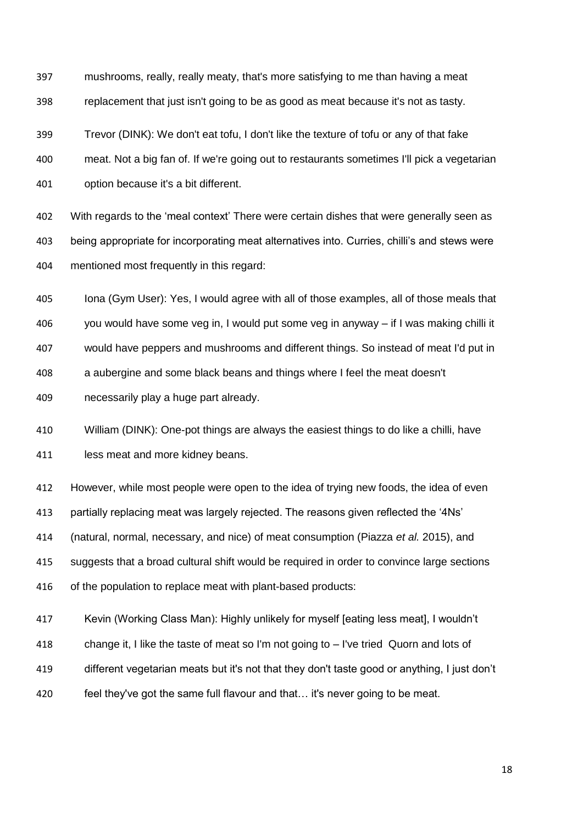mushrooms, really, really meaty, that's more satisfying to me than having a meat replacement that just isn't going to be as good as meat because it's not as tasty.

 Trevor (DINK): We don't eat tofu, I don't like the texture of tofu or any of that fake meat. Not a big fan of. If we're going out to restaurants sometimes I'll pick a vegetarian option because it's a bit different.

 With regards to the 'meal context' There were certain dishes that were generally seen as being appropriate for incorporating meat alternatives into. Curries, chilli's and stews were mentioned most frequently in this regard:

 Iona (Gym User): Yes, I would agree with all of those examples, all of those meals that you would have some veg in, I would put some veg in anyway – if I was making chilli it would have peppers and mushrooms and different things. So instead of meat I'd put in a aubergine and some black beans and things where I feel the meat doesn't necessarily play a huge part already.

 William (DINK): One-pot things are always the easiest things to do like a chilli, have 411 less meat and more kidney beans.

 However, while most people were open to the idea of trying new foods, the idea of even partially replacing meat was largely rejected. The reasons given reflected the '4Ns' (natural, normal, necessary, and nice) of meat consumption (Piazza *et al.* 2015), and suggests that a broad cultural shift would be required in order to convince large sections of the population to replace meat with plant-based products:

 Kevin (Working Class Man): Highly unlikely for myself [eating less meat], I wouldn't change it, I like the taste of meat so I'm not going to – I've tried Quorn and lots of different vegetarian meats but it's not that they don't taste good or anything, I just don't feel they've got the same full flavour and that… it's never going to be meat.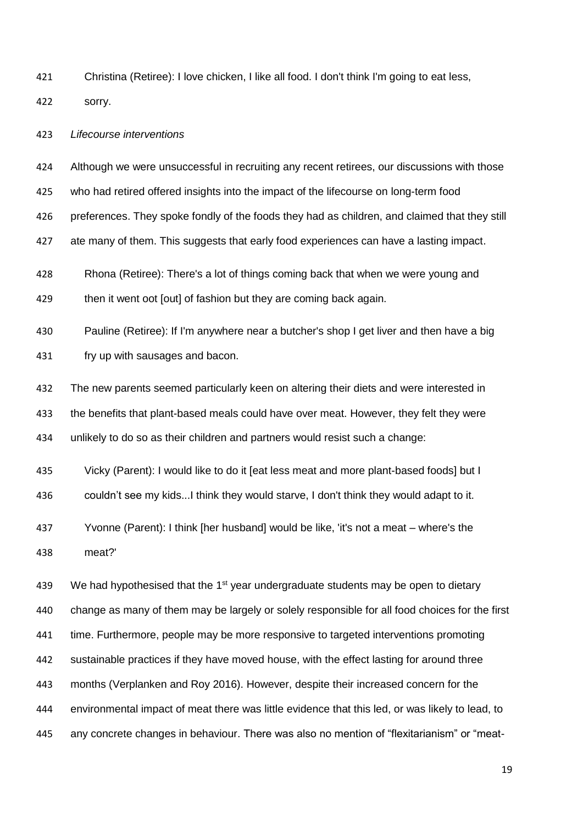Christina (Retiree): I love chicken, I like all food. I don't think I'm going to eat less,

sorry.

#### *Lifecourse interventions*

 Although we were unsuccessful in recruiting any recent retirees, our discussions with those who had retired offered insights into the impact of the lifecourse on long-term food preferences. They spoke fondly of the foods they had as children, and claimed that they still ate many of them. This suggests that early food experiences can have a lasting impact. Rhona (Retiree): There's a lot of things coming back that when we were young and 429 then it went oot [out] of fashion but they are coming back again. Pauline (Retiree): If I'm anywhere near a butcher's shop I get liver and then have a big fry up with sausages and bacon. The new parents seemed particularly keen on altering their diets and were interested in the benefits that plant-based meals could have over meat. However, they felt they were unlikely to do so as their children and partners would resist such a change: Vicky (Parent): I would like to do it [eat less meat and more plant-based foods] but I couldn't see my kids...I think they would starve, I don't think they would adapt to it. Yvonne (Parent): I think [her husband] would be like, 'it's not a meat – where's the meat?' 439 We had hypothesised that the  $1<sup>st</sup>$  year undergraduate students may be open to dietary

 change as many of them may be largely or solely responsible for all food choices for the first 441 time. Furthermore, people may be more responsive to targeted interventions promoting sustainable practices if they have moved house, with the effect lasting for around three months (Verplanken and Roy 2016). However, despite their increased concern for the environmental impact of meat there was little evidence that this led, or was likely to lead, to any concrete changes in behaviour. There was also no mention of "flexitarianism" or "meat-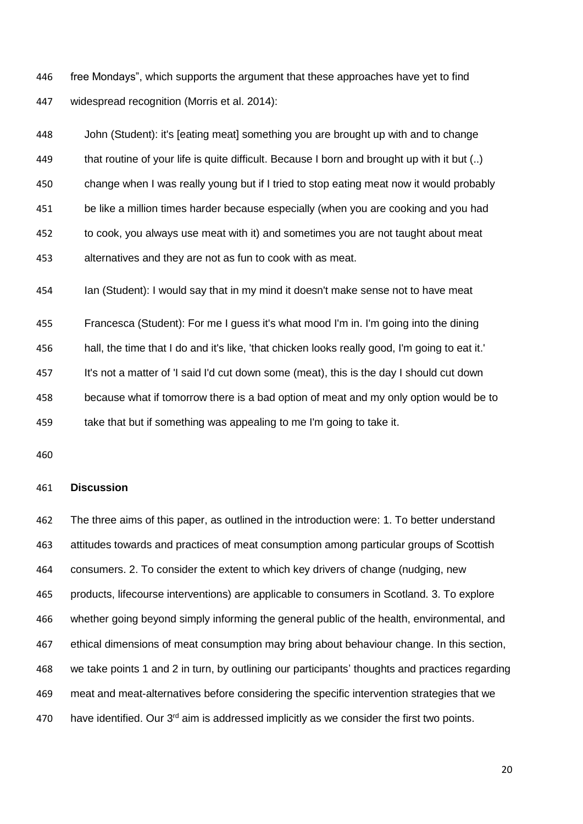free Mondays", which supports the argument that these approaches have yet to find widespread recognition (Morris et al. 2014):

 John (Student): it's [eating meat] something you are brought up with and to change that routine of your life is quite difficult. Because I born and brought up with it but (..) change when I was really young but if I tried to stop eating meat now it would probably be like a million times harder because especially (when you are cooking and you had to cook, you always use meat with it) and sometimes you are not taught about meat alternatives and they are not as fun to cook with as meat.

Ian (Student): I would say that in my mind it doesn't make sense not to have meat

Francesca (Student): For me I guess it's what mood I'm in. I'm going into the dining

hall, the time that I do and it's like, 'that chicken looks really good, I'm going to eat it.'

It's not a matter of 'I said I'd cut down some (meat), this is the day I should cut down

 because what if tomorrow there is a bad option of meat and my only option would be to 459 take that but if something was appealing to me I'm going to take it.

### **Discussion**

 The three aims of this paper, as outlined in the introduction were: 1. To better understand attitudes towards and practices of meat consumption among particular groups of Scottish consumers. 2. To consider the extent to which key drivers of change (nudging, new products, lifecourse interventions) are applicable to consumers in Scotland. 3. To explore whether going beyond simply informing the general public of the health, environmental, and ethical dimensions of meat consumption may bring about behaviour change. In this section, we take points 1 and 2 in turn, by outlining our participants' thoughts and practices regarding meat and meat-alternatives before considering the specific intervention strategies that we 470 have identified. Our  $3<sup>rd</sup>$  aim is addressed implicitly as we consider the first two points.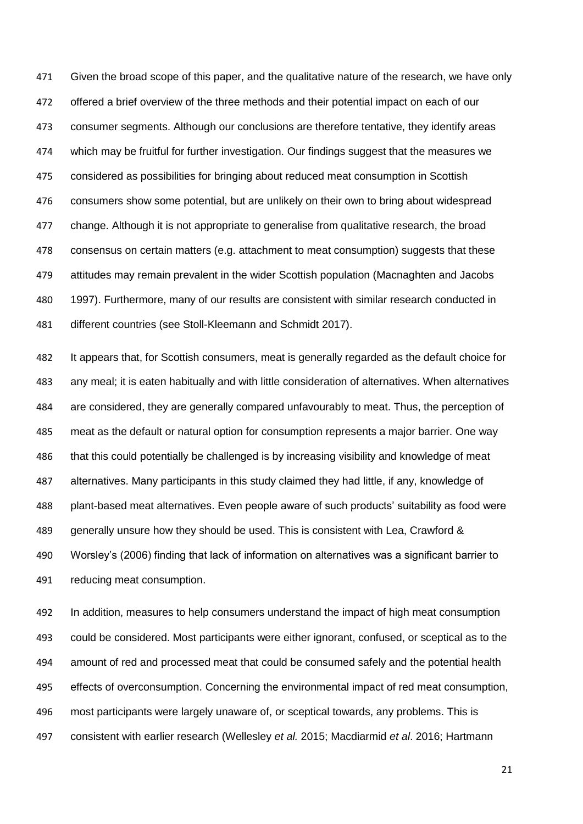Given the broad scope of this paper, and the qualitative nature of the research, we have only offered a brief overview of the three methods and their potential impact on each of our consumer segments. Although our conclusions are therefore tentative, they identify areas which may be fruitful for further investigation. Our findings suggest that the measures we considered as possibilities for bringing about reduced meat consumption in Scottish consumers show some potential, but are unlikely on their own to bring about widespread 477 change. Although it is not appropriate to generalise from qualitative research, the broad consensus on certain matters (e.g. attachment to meat consumption) suggests that these attitudes may remain prevalent in the wider Scottish population (Macnaghten and Jacobs 1997). Furthermore, many of our results are consistent with similar research conducted in different countries (see Stoll-Kleemann and Schmidt 2017).

 It appears that, for Scottish consumers, meat is generally regarded as the default choice for any meal; it is eaten habitually and with little consideration of alternatives. When alternatives are considered, they are generally compared unfavourably to meat. Thus, the perception of meat as the default or natural option for consumption represents a major barrier. One way that this could potentially be challenged is by increasing visibility and knowledge of meat alternatives. Many participants in this study claimed they had little, if any, knowledge of plant-based meat alternatives. Even people aware of such products' suitability as food were generally unsure how they should be used. This is consistent with Lea, Crawford & Worsley's (2006) finding that lack of information on alternatives was a significant barrier to reducing meat consumption.

 In addition, measures to help consumers understand the impact of high meat consumption could be considered. Most participants were either ignorant, confused, or sceptical as to the amount of red and processed meat that could be consumed safely and the potential health effects of overconsumption. Concerning the environmental impact of red meat consumption, most participants were largely unaware of, or sceptical towards, any problems. This is consistent with earlier research (Wellesley *et al.* 2015; Macdiarmid *et al*. 2016; Hartmann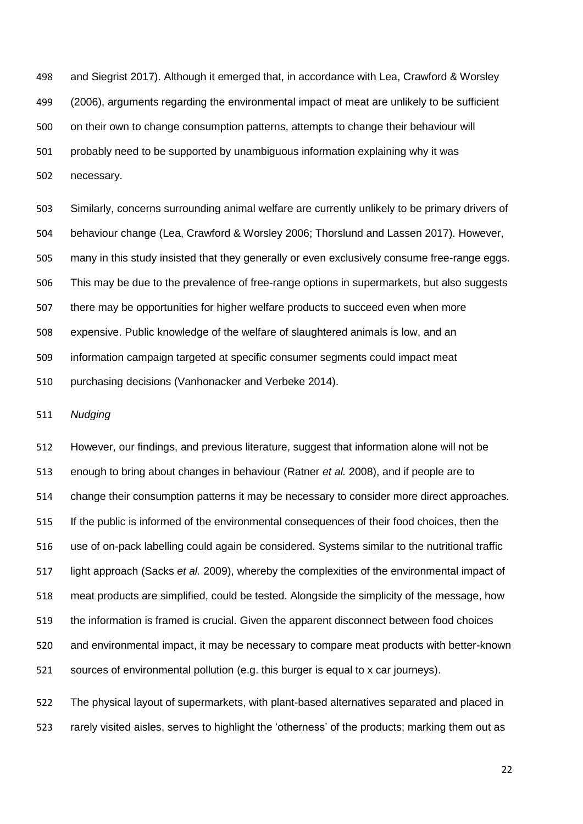and Siegrist 2017). Although it emerged that, in accordance with Lea, Crawford & Worsley (2006), arguments regarding the environmental impact of meat are unlikely to be sufficient on their own to change consumption patterns, attempts to change their behaviour will probably need to be supported by unambiguous information explaining why it was necessary.

 Similarly, concerns surrounding animal welfare are currently unlikely to be primary drivers of behaviour change (Lea, Crawford & Worsley 2006; Thorslund and Lassen 2017). However, many in this study insisted that they generally or even exclusively consume free-range eggs. This may be due to the prevalence of free-range options in supermarkets, but also suggests there may be opportunities for higher welfare products to succeed even when more expensive. Public knowledge of the welfare of slaughtered animals is low, and an information campaign targeted at specific consumer segments could impact meat purchasing decisions (Vanhonacker and Verbeke 2014).

*Nudging*

 However, our findings, and previous literature, suggest that information alone will not be enough to bring about changes in behaviour (Ratner *et al.* 2008), and if people are to change their consumption patterns it may be necessary to consider more direct approaches. If the public is informed of the environmental consequences of their food choices, then the use of on-pack labelling could again be considered. Systems similar to the nutritional traffic light approach (Sacks *et al.* 2009), whereby the complexities of the environmental impact of meat products are simplified, could be tested. Alongside the simplicity of the message, how the information is framed is crucial. Given the apparent disconnect between food choices and environmental impact, it may be necessary to compare meat products with better-known sources of environmental pollution (e.g. this burger is equal to x car journeys).

 The physical layout of supermarkets, with plant-based alternatives separated and placed in rarely visited aisles, serves to highlight the 'otherness' of the products; marking them out as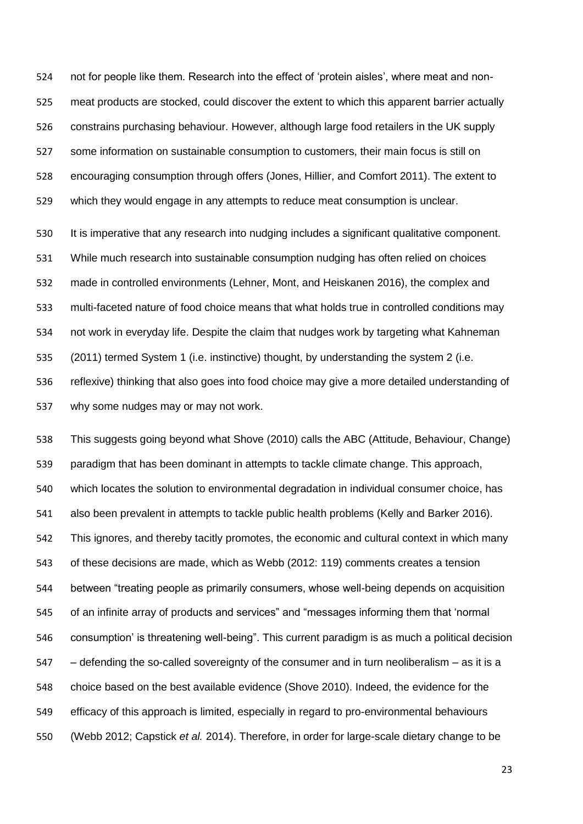not for people like them. Research into the effect of 'protein aisles', where meat and non- meat products are stocked, could discover the extent to which this apparent barrier actually constrains purchasing behaviour. However, although large food retailers in the UK supply some information on sustainable consumption to customers, their main focus is still on encouraging consumption through offers (Jones, Hillier, and Comfort 2011). The extent to which they would engage in any attempts to reduce meat consumption is unclear.

 It is imperative that any research into nudging includes a significant qualitative component. While much research into sustainable consumption nudging has often relied on choices made in controlled environments (Lehner, Mont, and Heiskanen 2016), the complex and multi-faceted nature of food choice means that what holds true in controlled conditions may not work in everyday life. Despite the claim that nudges work by targeting what Kahneman (2011) termed System 1 (i.e. instinctive) thought, by understanding the system 2 (i.e. reflexive) thinking that also goes into food choice may give a more detailed understanding of why some nudges may or may not work.

 This suggests going beyond what Shove (2010) calls the ABC (Attitude, Behaviour, Change) paradigm that has been dominant in attempts to tackle climate change. This approach, which locates the solution to environmental degradation in individual consumer choice, has also been prevalent in attempts to tackle public health problems (Kelly and Barker 2016). This ignores, and thereby tacitly promotes, the economic and cultural context in which many of these decisions are made, which as Webb (2012: 119) comments creates a tension between "treating people as primarily consumers, whose well-being depends on acquisition of an infinite array of products and services" and "messages informing them that 'normal consumption' is threatening well-being". This current paradigm is as much a political decision – defending the so-called sovereignty of the consumer and in turn neoliberalism – as it is a choice based on the best available evidence (Shove 2010). Indeed, the evidence for the efficacy of this approach is limited, especially in regard to pro-environmental behaviours (Webb 2012; Capstick *et al.* 2014). Therefore, in order for large-scale dietary change to be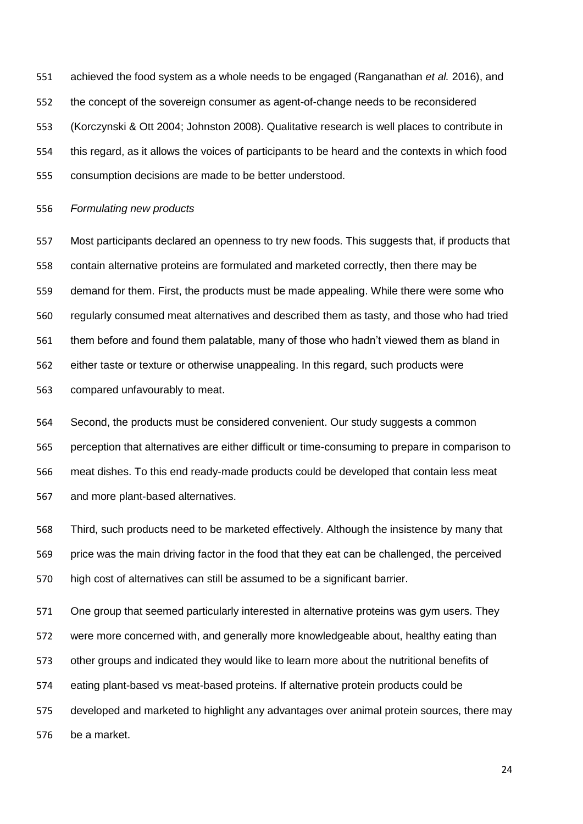achieved the food system as a whole needs to be engaged (Ranganathan *et al.* 2016), and the concept of the sovereign consumer as agent-of-change needs to be reconsidered (Korczynski & Ott 2004; Johnston 2008). Qualitative research is well places to contribute in this regard, as it allows the voices of participants to be heard and the contexts in which food consumption decisions are made to be better understood.

#### *Formulating new products*

 Most participants declared an openness to try new foods. This suggests that, if products that contain alternative proteins are formulated and marketed correctly, then there may be demand for them. First, the products must be made appealing. While there were some who regularly consumed meat alternatives and described them as tasty, and those who had tried them before and found them palatable, many of those who hadn't viewed them as bland in either taste or texture or otherwise unappealing. In this regard, such products were compared unfavourably to meat.

 Second, the products must be considered convenient. Our study suggests a common perception that alternatives are either difficult or time-consuming to prepare in comparison to meat dishes. To this end ready-made products could be developed that contain less meat and more plant-based alternatives.

 Third, such products need to be marketed effectively. Although the insistence by many that price was the main driving factor in the food that they eat can be challenged, the perceived high cost of alternatives can still be assumed to be a significant barrier.

 One group that seemed particularly interested in alternative proteins was gym users. They were more concerned with, and generally more knowledgeable about, healthy eating than other groups and indicated they would like to learn more about the nutritional benefits of eating plant-based vs meat-based proteins. If alternative protein products could be developed and marketed to highlight any advantages over animal protein sources, there may be a market.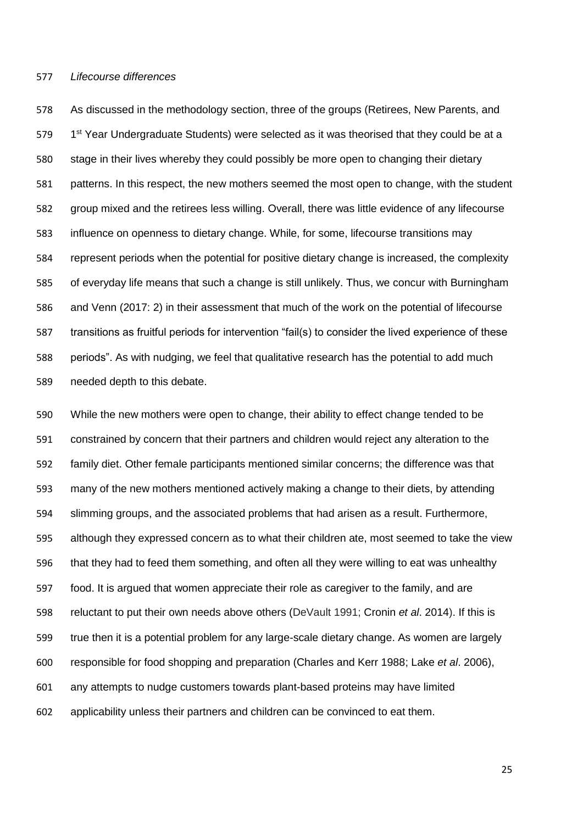#### *Lifecourse differences*

 As discussed in the methodology section, three of the groups (Retirees, New Parents, and 579 1<sup>st</sup> Year Undergraduate Students) were selected as it was theorised that they could be at a stage in their lives whereby they could possibly be more open to changing their dietary patterns. In this respect, the new mothers seemed the most open to change, with the student group mixed and the retirees less willing. Overall, there was little evidence of any lifecourse influence on openness to dietary change. While, for some, lifecourse transitions may represent periods when the potential for positive dietary change is increased, the complexity of everyday life means that such a change is still unlikely. Thus, we concur with Burningham and Venn (2017: 2) in their assessment that much of the work on the potential of lifecourse transitions as fruitful periods for intervention "fail(s) to consider the lived experience of these periods". As with nudging, we feel that qualitative research has the potential to add much needed depth to this debate.

 While the new mothers were open to change, their ability to effect change tended to be constrained by concern that their partners and children would reject any alteration to the family diet. Other female participants mentioned similar concerns; the difference was that many of the new mothers mentioned actively making a change to their diets, by attending slimming groups, and the associated problems that had arisen as a result. Furthermore, although they expressed concern as to what their children ate, most seemed to take the view that they had to feed them something, and often all they were willing to eat was unhealthy food. It is argued that women appreciate their role as caregiver to the family, and are reluctant to put their own needs above others (DeVault 1991; Cronin *et al*. 2014). If this is true then it is a potential problem for any large-scale dietary change. As women are largely responsible for food shopping and preparation (Charles and Kerr 1988; Lake *et al*. 2006), any attempts to nudge customers towards plant-based proteins may have limited applicability unless their partners and children can be convinced to eat them.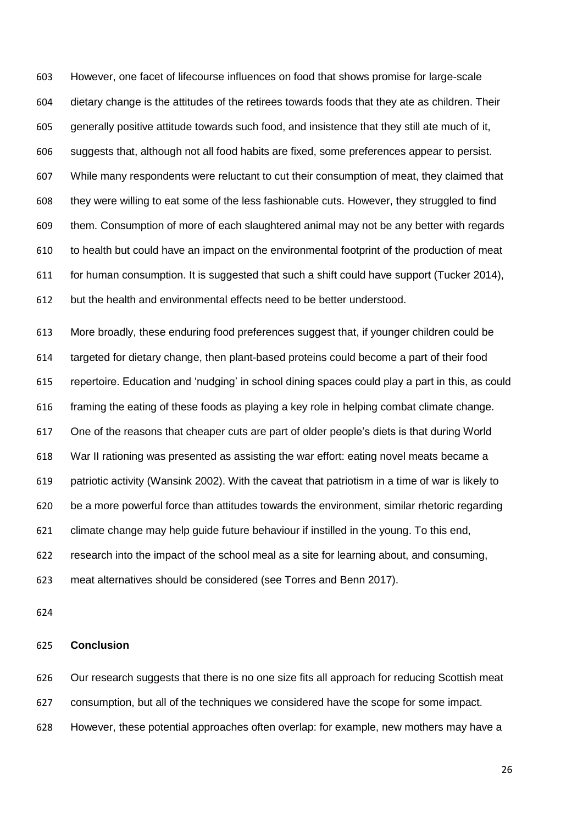However, one facet of lifecourse influences on food that shows promise for large-scale dietary change is the attitudes of the retirees towards foods that they ate as children. Their generally positive attitude towards such food, and insistence that they still ate much of it, suggests that, although not all food habits are fixed, some preferences appear to persist. While many respondents were reluctant to cut their consumption of meat, they claimed that they were willing to eat some of the less fashionable cuts. However, they struggled to find them. Consumption of more of each slaughtered animal may not be any better with regards to health but could have an impact on the environmental footprint of the production of meat for human consumption. It is suggested that such a shift could have support (Tucker 2014), but the health and environmental effects need to be better understood.

 More broadly, these enduring food preferences suggest that, if younger children could be targeted for dietary change, then plant-based proteins could become a part of their food repertoire. Education and 'nudging' in school dining spaces could play a part in this, as could framing the eating of these foods as playing a key role in helping combat climate change. One of the reasons that cheaper cuts are part of older people's diets is that during World War II rationing was presented as assisting the war effort: eating novel meats became a patriotic activity (Wansink 2002). With the caveat that patriotism in a time of war is likely to be a more powerful force than attitudes towards the environment, similar rhetoric regarding climate change may help guide future behaviour if instilled in the young. To this end, research into the impact of the school meal as a site for learning about, and consuming, meat alternatives should be considered (see Torres and Benn 2017).

### **Conclusion**

 Our research suggests that there is no one size fits all approach for reducing Scottish meat consumption, but all of the techniques we considered have the scope for some impact. However, these potential approaches often overlap: for example, new mothers may have a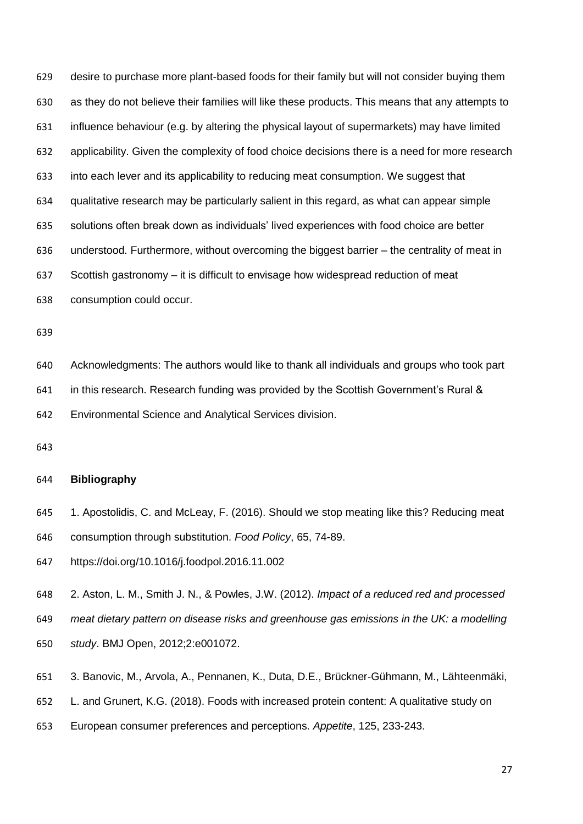desire to purchase more plant-based foods for their family but will not consider buying them as they do not believe their families will like these products. This means that any attempts to influence behaviour (e.g. by altering the physical layout of supermarkets) may have limited applicability. Given the complexity of food choice decisions there is a need for more research into each lever and its applicability to reducing meat consumption. We suggest that qualitative research may be particularly salient in this regard, as what can appear simple solutions often break down as individuals' lived experiences with food choice are better understood. Furthermore, without overcoming the biggest barrier – the centrality of meat in Scottish gastronomy – it is difficult to envisage how widespread reduction of meat consumption could occur.

Acknowledgments: The authors would like to thank all individuals and groups who took part

in this research. Research funding was provided by the Scottish Government's Rural &

Environmental Science and Analytical Services division.

# **Bibliography**

 1. Apostolidis, C. and McLeay, F. (2016). Should we stop meating like this? Reducing meat consumption through substitution. *Food Policy*, 65, 74-89.

https://doi.org/10.1016/j.foodpol.2016.11.002

2. Aston, L. M., Smith J. N., & Powles, J.W. (2012). *Impact of a reduced red and processed* 

*meat dietary pattern on disease risks and greenhouse gas emissions in the UK: a modelling* 

- *study*. BMJ Open, 2012;2:e001072.
- 3. Banovic, M., Arvola, A., Pennanen, K., Duta, D.E., Brückner-Gühmann, M., Lähteenmäki,
- L. and Grunert, K.G. (2018). Foods with increased protein content: A qualitative study on
- European consumer preferences and perceptions. *Appetite*, 125, 233-243.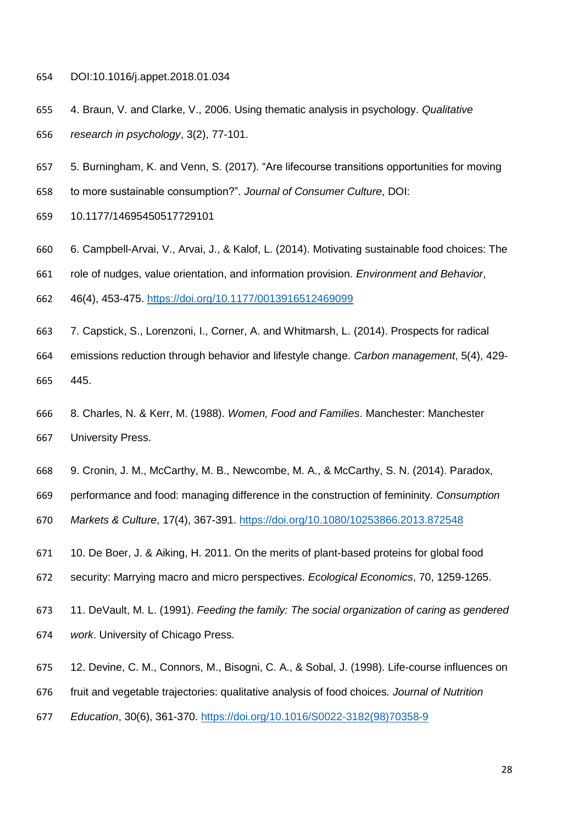- DOI:10.1016/j.appet.2018.01.034
- 4. Braun, V. and Clarke, V., 2006. Using thematic analysis in psychology. *Qualitative research in psychology*, 3(2), 77-101.
- 5. Burningham, K. and Venn, S. (2017). "Are lifecourse transitions opportunities for moving
- to more sustainable consumption?". *Journal of Consumer Culture*, DOI:
- 10.1177/14695450517729101
- 6. Campbell-Arvai, V., Arvai, J., & Kalof, L. (2014). Motivating sustainable food choices: The
- role of nudges, value orientation, and information provision. *Environment and Behavior*,
- 46(4), 453-475. <https://doi.org/10.1177/0013916512469099>
- 7. Capstick, S., Lorenzoni, I., Corner, A. and Whitmarsh, L. (2014). Prospects for radical emissions reduction through behavior and lifestyle change. *Carbon management*, 5(4), 429- 445.
- 8. Charles, N. & Kerr, M. (1988). *Women, Food and Families*. Manchester: Manchester University Press.
- 9. Cronin, J. M., McCarthy, M. B., Newcombe, M. A., & McCarthy, S. N. (2014). Paradox,
- performance and food: managing difference in the construction of femininity. *Consumption*
- *Markets & Culture*, 17(4), 367-391. <https://doi.org/10.1080/10253866.2013.872548>
- 10. De Boer, J. & Aiking, H. 2011. On the merits of plant-based proteins for global food
- security: Marrying macro and micro perspectives. *Ecological Economics*, 70, 1259-1265.
- 11. DeVault, M. L. (1991). *Feeding the family: The social organization of caring as gendered work*. University of Chicago Press.
- 12. Devine, C. M., Connors, M., Bisogni, C. A., & Sobal, J. (1998). Life-course influences on
- fruit and vegetable trajectories: qualitative analysis of food choices. *Journal of Nutrition*
- *Education*, 30(6), 361-370. [https://doi.org/10.1016/S0022-3182\(98\)70358-9](https://doi.org/10.1016/S0022-3182(98)70358-9)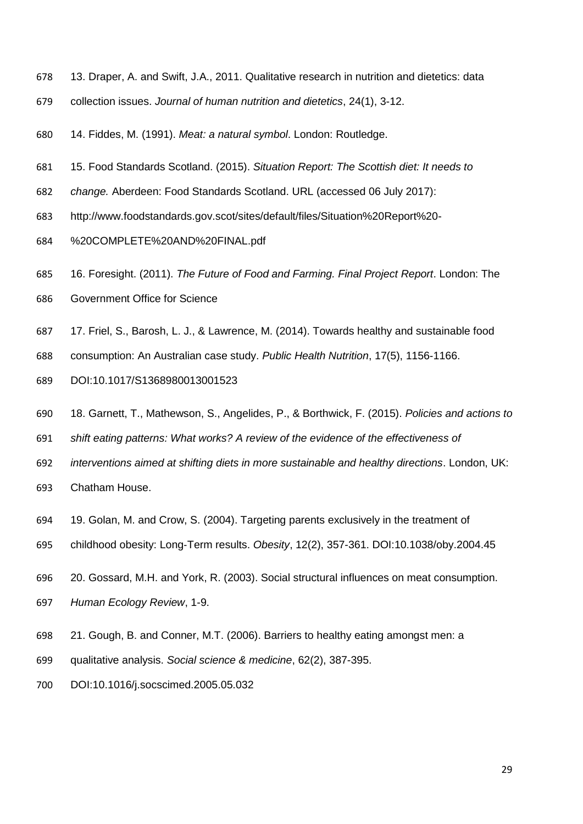- 13. Draper, A. and Swift, J.A., 2011. Qualitative research in nutrition and dietetics: data
- collection issues. *Journal of human nutrition and dietetics*, 24(1), 3-12.
- 14. Fiddes, M. (1991). *Meat: a natural symbol*. London: Routledge.
- 15. Food Standards Scotland. (2015). *Situation Report: The Scottish diet: It needs to*
- *change.* Aberdeen: Food Standards Scotland. URL (accessed 06 July 2017):
- http://www.foodstandards.gov.scot/sites/default/files/Situation%20Report%20-
- %20COMPLETE%20AND%20FINAL.pdf
- 16. Foresight. (2011). *The Future of Food and Farming. Final Project Report*. London: The
- Government Office for Science
- 17. Friel, S., Barosh, L. J., & Lawrence, M. (2014). Towards healthy and sustainable food
- consumption: An Australian case study. *Public Health Nutrition*, 17(5), 1156-1166.
- DOI:10.1017/S1368980013001523
- 18. Garnett, T., Mathewson, S., Angelides, P., & Borthwick, F. (2015). *Policies and actions to*
- *shift eating patterns: What works? A review of the evidence of the effectiveness of*
- *interventions aimed at shifting diets in more sustainable and healthy directions*. London, UK:
- Chatham House.
- 19. Golan, M. and Crow, S. (2004). Targeting parents exclusively in the treatment of
- childhood obesity: Long‐Term results. *Obesity*, 12(2), 357-361. DOI:10.1038/oby.2004.45
- 20. Gossard, M.H. and York, R. (2003). Social structural influences on meat consumption.
- *Human Ecology Review*, 1-9.
- 21. Gough, B. and Conner, M.T. (2006). Barriers to healthy eating amongst men: a
- qualitative analysis. *Social science & medicine*, 62(2), 387-395.
- DOI:10.1016/j.socscimed.2005.05.032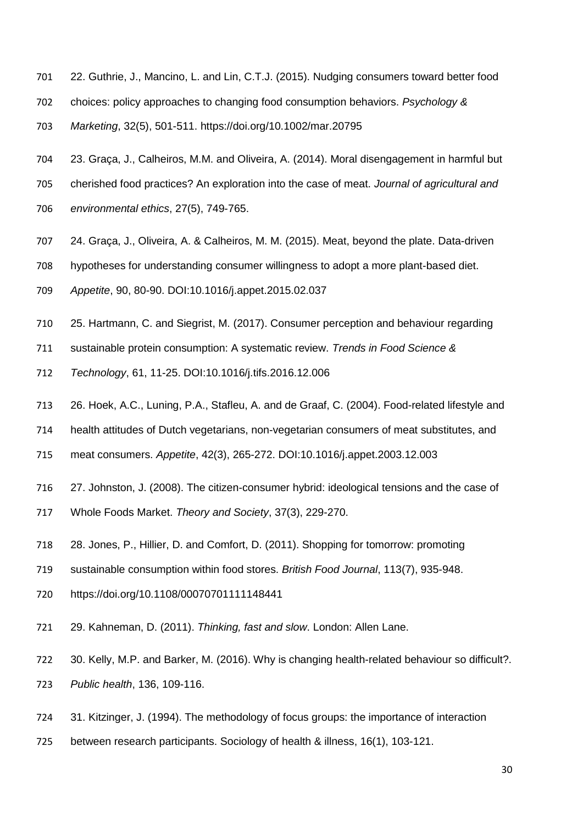- 22. Guthrie, J., Mancino, L. and Lin, C.T.J. (2015). Nudging consumers toward better food
- choices: policy approaches to changing food consumption behaviors. *Psychology &*
- *Marketing*, 32(5), 501-511. https://doi.org/10.1002/mar.20795
- 23. Graça, J., Calheiros, M.M. and Oliveira, A. (2014). Moral disengagement in harmful but
- cherished food practices? An exploration into the case of meat. *Journal of agricultural and*
- *environmental ethics*, 27(5), 749-765.
- 24. Graça, J., Oliveira, A. & Calheiros, M. M. (2015). Meat, beyond the plate. Data-driven
- hypotheses for understanding consumer willingness to adopt a more plant-based diet.
- *Appetite*, 90, 80-90. DOI:10.1016/j.appet.2015.02.037
- 25. Hartmann, C. and Siegrist, M. (2017). Consumer perception and behaviour regarding
- sustainable protein consumption: A systematic review. *Trends in Food Science &*
- *Technology*, 61, 11-25. DOI:10.1016/j.tifs.2016.12.006
- 26. Hoek, A.C., Luning, P.A., Stafleu, A. and de Graaf, C. (2004). Food-related lifestyle and
- health attitudes of Dutch vegetarians, non-vegetarian consumers of meat substitutes, and
- meat consumers. *Appetite*, 42(3), 265-272. DOI:10.1016/j.appet.2003.12.003
- 27. Johnston, J. (2008). The citizen-consumer hybrid: ideological tensions and the case of
- Whole Foods Market. *Theory and Society*, 37(3), 229-270.
- 28. Jones, P., Hillier, D. and Comfort, D. (2011). Shopping for tomorrow: promoting
- sustainable consumption within food stores. *British Food Journal*, 113(7), 935-948.
- https://doi.org/10.1108/00070701111148441
- 29. Kahneman, D. (2011). *Thinking, fast and slow*. London: Allen Lane.
- 30. Kelly, M.P. and Barker, M. (2016). Why is changing health-related behaviour so difficult?.
- *Public health*, 136, 109-116.
- 31. Kitzinger, J. (1994). The methodology of focus groups: the importance of interaction
- between research participants. Sociology of health & illness, 16(1), 103-121.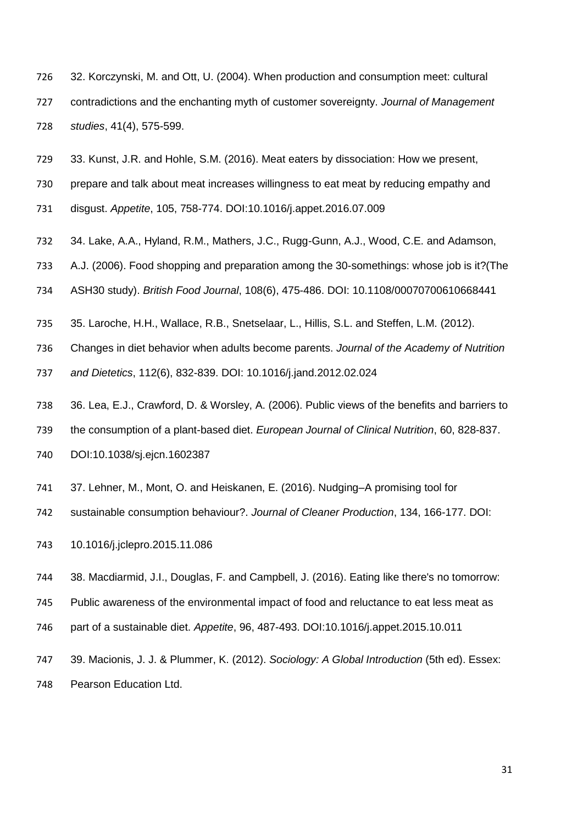- 32. Korczynski, M. and Ott, U. (2004). When production and consumption meet: cultural contradictions and the enchanting myth of customer sovereignty. *Journal of Management studies*, 41(4), 575-599.
- 33. Kunst, J.R. and Hohle, S.M. (2016). Meat eaters by dissociation: How we present,
- prepare and talk about meat increases willingness to eat meat by reducing empathy and
- disgust. *Appetite*, 105, 758-774. DOI:10.1016/j.appet.2016.07.009
- 34. Lake, A.A., Hyland, R.M., Mathers, J.C., Rugg-Gunn, A.J., Wood, C.E. and Adamson,
- A.J. (2006). Food shopping and preparation among the 30-somethings: whose job is it?(The
- ASH30 study). *British Food Journal*, 108(6), 475-486. DOI: 10.1108/00070700610668441
- 35. Laroche, H.H., Wallace, R.B., Snetselaar, L., Hillis, S.L. and Steffen, L.M. (2012).
- Changes in diet behavior when adults become parents. *Journal of the Academy of Nutrition*
- *and Dietetics*, 112(6), 832-839. DOI: 10.1016/j.jand.2012.02.024
- 36. Lea, E.J., Crawford, D. & Worsley, A. (2006). Public views of the benefits and barriers to
- the consumption of a plant-based diet. *European Journal of Clinical Nutrition*, 60, 828-837.
- DOI:10.1038/sj.ejcn.1602387
- 37. Lehner, M., Mont, O. and Heiskanen, E. (2016). Nudging–A promising tool for
- sustainable consumption behaviour?. *Journal of Cleaner Production*, 134, 166-177. DOI:
- 10.1016/j.jclepro.2015.11.086
- 38. Macdiarmid, J.I., Douglas, F. and Campbell, J. (2016). Eating like there's no tomorrow:
- Public awareness of the environmental impact of food and reluctance to eat less meat as
- part of a sustainable diet. *Appetite*, 96, 487-493. DOI:10.1016/j.appet.2015.10.011
- 39. Macionis, J. J. & Plummer, K. (2012). *Sociology: A Global Introduction* (5th ed). Essex: Pearson Education Ltd.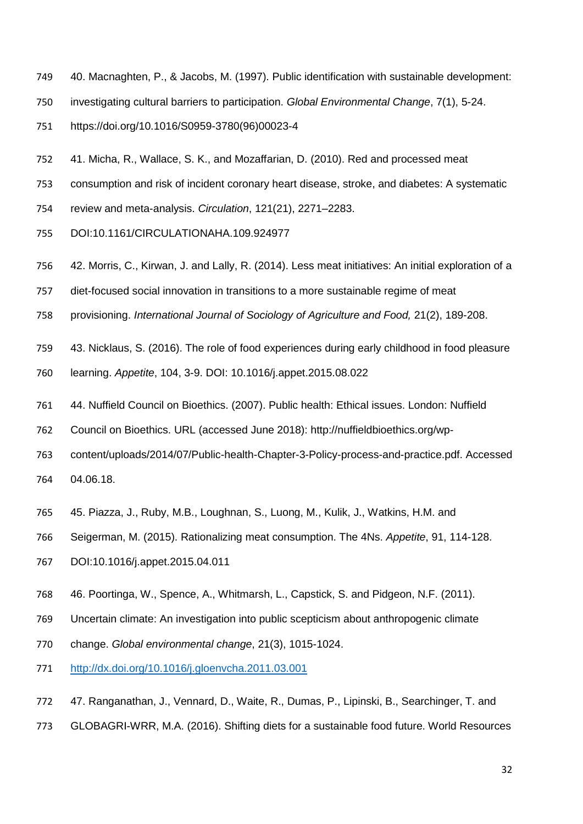- 40. Macnaghten, P., & Jacobs, M. (1997). Public identification with sustainable development:
- investigating cultural barriers to participation. *Global Environmental Change*, 7(1), 5-24.
- https://doi.org/10.1016/S0959-3780(96)00023-4
- 41. Micha, R., Wallace, S. K., and Mozaffarian, D. (2010). Red and processed meat
- consumption and risk of incident coronary heart disease, stroke, and diabetes: A systematic
- review and meta-analysis. *Circulation*, 121(21), 2271–2283.
- DOI:10.1161/CIRCULATIONAHA.109.924977
- 42. Morris, C., Kirwan, J. and Lally, R. (2014). Less meat initiatives: An initial exploration of a
- diet-focused social innovation in transitions to a more sustainable regime of meat
- provisioning. *International Journal of Sociology of Agriculture and Food,* 21(2), 189-208.
- 43. Nicklaus, S. (2016). The role of food experiences during early childhood in food pleasure
- learning. *Appetite*, 104, 3-9. DOI: 10.1016/j.appet.2015.08.022
- 44. Nuffield Council on Bioethics. (2007). Public health: Ethical issues. London: Nuffield
- Council on Bioethics. URL (accessed June 2018): http://nuffieldbioethics.org/wp-
- content/uploads/2014/07/Public-health-Chapter-3-Policy-process-and-practice.pdf. Accessed 04.06.18.
- 45. Piazza, J., Ruby, M.B., Loughnan, S., Luong, M., Kulik, J., Watkins, H.M. and
- Seigerman, M. (2015). Rationalizing meat consumption. The 4Ns. *Appetite*, 91, 114-128.
- DOI:10.1016/j.appet.2015.04.011
- 46. Poortinga, W., Spence, A., Whitmarsh, L., Capstick, S. and Pidgeon, N.F. (2011).
- Uncertain climate: An investigation into public scepticism about anthropogenic climate
- change. *Global environmental change*, 21(3), 1015-1024.
- <http://dx.doi.org/10.1016/j.gloenvcha.2011.03.001>
- 47. Ranganathan, J., Vennard, D., Waite, R., Dumas, P., Lipinski, B., Searchinger, T. and
- GLOBAGRI-WRR, M.A. (2016). Shifting diets for a sustainable food future. World Resources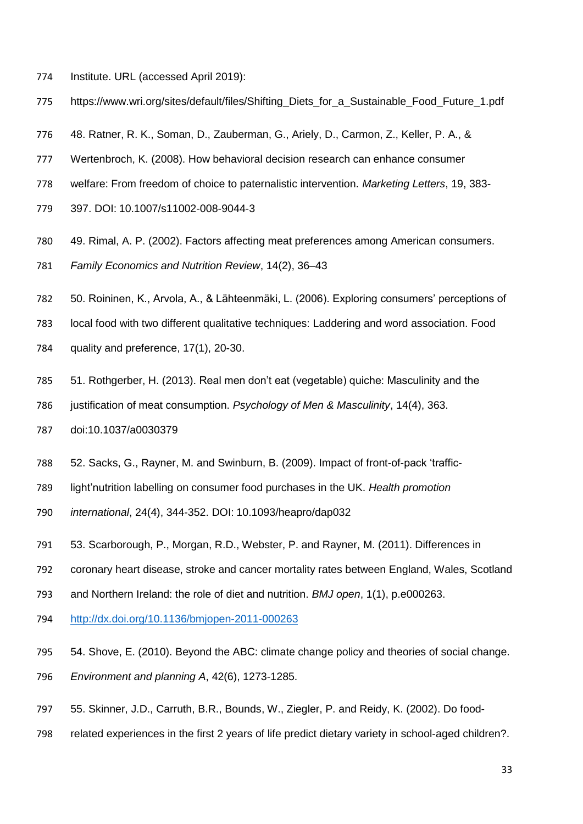- Institute. URL (accessed April 2019):
- https://www.wri.org/sites/default/files/Shifting\_Diets\_for\_a\_Sustainable\_Food\_Future\_1.pdf
- 48. Ratner, R. K., Soman, D., Zauberman, G., Ariely, D., Carmon, Z., Keller, P. A., &
- Wertenbroch, K. (2008). How behavioral decision research can enhance consumer
- welfare: From freedom of choice to paternalistic intervention. *Marketing Letters*, 19, 383-
- 397. DOI: 10.1007/s11002-008-9044-3
- 49. Rimal, A. P. (2002). Factors affecting meat preferences among American consumers. *Family Economics and Nutrition Review*, 14(2), 36–43
- 50. Roininen, K., Arvola, A., & Lähteenmäki, L. (2006). Exploring consumers' perceptions of
- local food with two different qualitative techniques: Laddering and word association. Food
- quality and preference, 17(1), 20-30.
- 51. Rothgerber, H. (2013). Real men don't eat (vegetable) quiche: Masculinity and the
- justification of meat consumption. *Psychology of Men & Masculinity*, 14(4), 363.
- doi:10.1037/a0030379
- 52. Sacks, G., Rayner, M. and Swinburn, B. (2009). Impact of front-of-pack 'traffic-
- light'nutrition labelling on consumer food purchases in the UK. *Health promotion*
- *international*, 24(4), 344-352. DOI: 10.1093/heapro/dap032
- 53. Scarborough, P., Morgan, R.D., Webster, P. and Rayner, M. (2011). Differences in
- coronary heart disease, stroke and cancer mortality rates between England, Wales, Scotland
- and Northern Ireland: the role of diet and nutrition. *BMJ open*, 1(1), p.e000263.
- <http://dx.doi.org/10.1136/bmjopen-2011-000263>
- 54. Shove, E. (2010). Beyond the ABC: climate change policy and theories of social change.
- *Environment and planning A*, 42(6), 1273-1285.
- 55. Skinner, J.D., Carruth, B.R., Bounds, W., Ziegler, P. and Reidy, K. (2002). Do food-
- related experiences in the first 2 years of life predict dietary variety in school-aged children?.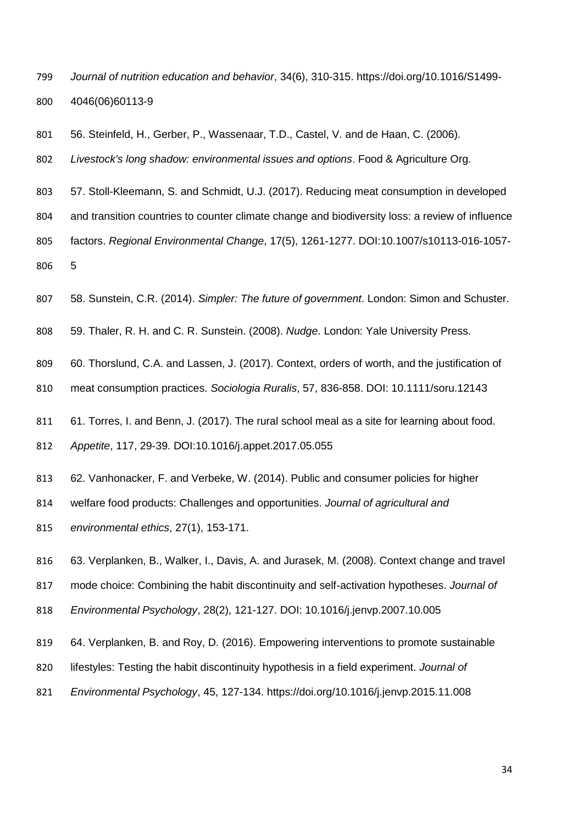- *Journal of nutrition education and behavior*, 34(6), 310-315. https://doi.org/10.1016/S1499- 4046(06)60113-9
- 56. Steinfeld, H., Gerber, P., Wassenaar, T.D., Castel, V. and de Haan, C. (2006).
- *Livestock's long shadow: environmental issues and options*. Food & Agriculture Org.
- 57. Stoll-Kleemann, S. and Schmidt, U.J. (2017). Reducing meat consumption in developed
- and transition countries to counter climate change and biodiversity loss: a review of influence
- factors. *Regional Environmental Change*, 17(5), 1261-1277. DOI:10.1007/s10113-016-1057- 5
- 58. Sunstein, C.R. (2014). *Simpler: The future of government*. London: Simon and Schuster.
- 59. Thaler, R. H. and C. R. Sunstein. (2008). *Nudge*. London: Yale University Press.
- 60. Thorslund, C.A. and Lassen, J. (2017). Context, orders of worth, and the justification of
- meat consumption practices. *Sociologia Ruralis*, 57, 836-858. DOI: 10.1111/soru.12143
- 61. Torres, I. and Benn, J. (2017). The rural school meal as a site for learning about food.
- *Appetite*, 117, 29-39. DOI:10.1016/j.appet.2017.05.055
- 62. Vanhonacker, F. and Verbeke, W. (2014). Public and consumer policies for higher
- welfare food products: Challenges and opportunities. *Journal of agricultural and*
- *environmental ethics*, 27(1), 153-171.
- 63. Verplanken, B., Walker, I., Davis, A. and Jurasek, M. (2008). Context change and travel
- mode choice: Combining the habit discontinuity and self-activation hypotheses. *Journal of*
- *Environmental Psychology*, 28(2), 121-127. DOI: 10.1016/j.jenvp.2007.10.005
- 64. Verplanken, B. and Roy, D. (2016). Empowering interventions to promote sustainable
- lifestyles: Testing the habit discontinuity hypothesis in a field experiment. *Journal of*
- *Environmental Psychology*, 45, 127-134. https://doi.org/10.1016/j.jenvp.2015.11.008